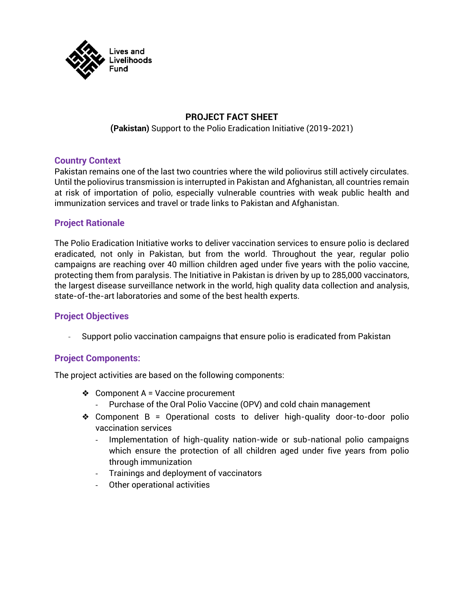

# **PROJECT FACT SHEET**

**(Pakistan)** Support to the Polio Eradication Initiative (2019-2021)

#### **Country Context**

Pakistan remains one of the last two countries where the wild poliovirus still actively circulates. Until the poliovirus transmission is interrupted in Pakistan and Afghanistan, all countries remain at risk of importation of polio, especially vulnerable countries with weak public health and immunization services and travel or trade links to Pakistan and Afghanistan.

### **Project Rationale**

The Polio Eradication Initiative works to deliver vaccination services to ensure polio is declared eradicated, not only in Pakistan, but from the world. Throughout the year, regular polio campaigns are reaching over 40 million children aged under five years with the polio vaccine, protecting them from paralysis. The Initiative in Pakistan is driven by up to 285,000 vaccinators, the largest disease surveillance network in the world, high quality data collection and analysis, state-of-the-art laboratories and some of the best health experts.

### **Project Objectives**

- Support polio vaccination campaigns that ensure polio is eradicated from Pakistan

### **Project Components:**

The project activities are based on the following components:

- ❖ Component A = Vaccine procurement
	- Purchase of the Oral Polio Vaccine (OPV) and cold chain management
- ❖ Component B = Operational costs to deliver high-quality door-to-door polio vaccination services
	- Implementation of high-quality nation-wide or sub-national polio campaigns which ensure the protection of all children aged under five years from polio through immunization
	- Trainings and deployment of vaccinators
	- Other operational activities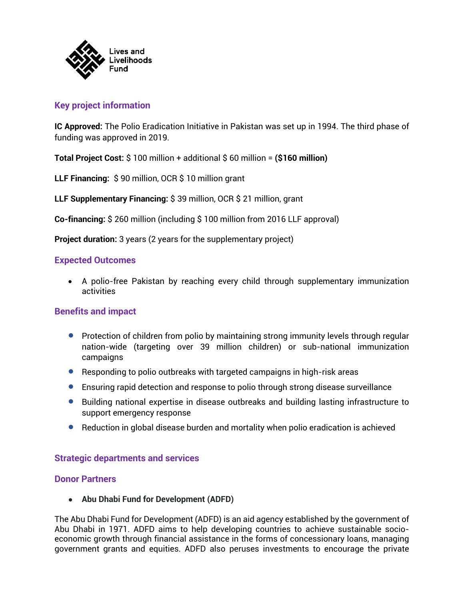

# **Key project information**

**IC Approved:** The Polio Eradication Initiative in Pakistan was set up in 1994. The third phase of funding was approved in 2019.

**Total Project Cost:** \$ 100 million + additional \$ 60 million = **(\$160 million)**

**LLF Financing:** \$ 90 million, OCR \$ 10 million grant

**LLF Supplementary Financing:** \$ 39 million, OCR \$ 21 million, grant

**Co-financing:** \$ 260 million (including \$ 100 million from 2016 LLF approval)

**Project duration:** 3 years (2 years for the supplementary project)

### **Expected Outcomes**

• A polio-free Pakistan by reaching every child through supplementary immunization activities

## **Benefits and impact**

- Protection of children from polio by maintaining strong immunity levels through regular nation-wide (targeting over 39 million children) or sub-national immunization campaigns
- Responding to polio outbreaks with targeted campaigns in high-risk areas
- Ensuring rapid detection and response to polio through strong disease surveillance
- Building national expertise in disease outbreaks and building lasting infrastructure to support emergency response
- Reduction in global disease burden and mortality when polio eradication is achieved

## **Strategic departments and services**

### **Donor Partners**

● **Abu Dhabi Fund for Development (ADFD)**

The Abu Dhabi Fund for Development (ADFD) is an aid agency established by the government of Abu Dhabi in 1971. ADFD aims to help developing countries to achieve sustainable socioeconomic growth through financial assistance in the forms of concessionary loans, managing government grants and equities. ADFD also peruses investments to encourage the private